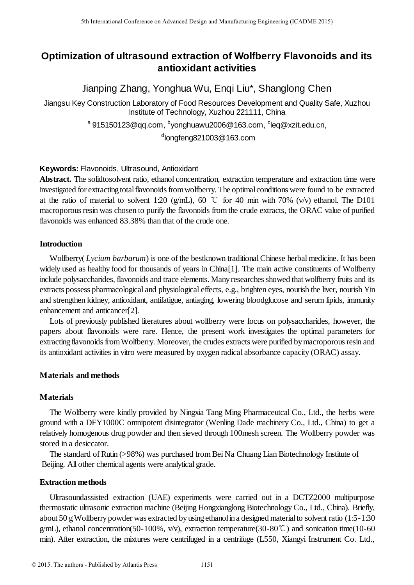# **Optimization of ultrasound extraction of Wolfberry Flavonoids and its antioxidant activities**

Jianping Zhang, Yonghua Wu, Enqi Liu\*, Shanglong Chen

Jiangsu Key Construction Laboratory of Food Resources Development and Quality Safe, Xuzhou Institute of Technology, Xuzhou 221111, China

 $^{\circ}$  915150123@qq.com,  $^{\circ}$ yonghuawu2006@163.com,  $^{\circ}$ leq@xzit.edu.cn,

d longfeng821003@163.com

# **Keywords:** Flavonoids, Ultrasound, Antioxidant

**Abstract.** The solidtosolvent ratio, ethanol concentration, extraction temperature and extraction time were investigated for extracting total flavonoids from wolfberry. The optimal conditions were found to be extracted at the ratio of material to solvent 1:20 (g/mL), 60 °C for 40 min with 70% (v/v) ethanol. The D101 macroporous resin was chosen to purify the flavonoids from the crude extracts, the ORAC value of purified flavonoids was enhanced 83.38% than that of the crude one.

# **Introduction**

Wolfberry( *Lycium barbarum*) is one of the bestknown traditional Chinese herbal medicine. It has been widely used as healthy food for thousands of years in China[1]. The main active constituents of Wolfberry include polysaccharides, flavonoids and trace elements. Many researches showed that wolfberry fruits and its extracts possess pharmacological and physiological effects, e.g., brighten eyes, nourish the liver, nourish Yin and strengthen kidney, antioxidant, antifatigue, antiaging, lowering bloodglucose and serum lipids, immunity enhancement and anticancer[2]. 5th Isamitesal Conference on Advanced Design and Manufacturing Engenering (ICADME 2015)<br>
2ntipsing 2ntipsing America (ICA) Conference on Advanced Design and Manufacturing and Manufacturing Cheme<br>
16th International Confer

Lots of previously published literatures about wolfberry were focus on polysaccharides, however, the papers about flavonoids were rare. Hence, the present work investigates the optimal parameters for extracting flavonoids from Wolfberry. Moreover, the crudes extracts were purified by macroporous resin and its antioxidant activities in vitro were measured by oxygen radical absorbance capacity (ORAC) assay.

# **Materials and methods**

# **Materials**

The Wolfberry were kindly provided by Ningxia Tang Ming Pharmaceutcal Co., Ltd., the herbs were ground with a DFY1000C omnipotent disintegrator (Wenling Dade machinery Co., Ltd., China) to get a relatively homogenous drug powder and then sieved through 100mesh screen. The Wolfberry powder was stored in a desiccator.

The standard of Rutin (>98%) was purchased from Bei Na Chuang Lian Biotechnology Institute of Beijing. All other chemical agents were analytical grade.

### **Extraction methods**

Ultrasoundassisted extraction (UAE) experiments were carried out in a DCTZ2000 multipurpose thermostatic ultrasonic extraction machine (Beijing Hongxianglong Biotechnology Co., Ltd., China). Briefly, about 50 g Wolfberry powder was extracted by using ethanol in a designed material to solvent ratio (1:5-1:30 g/mL), ethanol concentration(50-100%, v/v), extraction temperature(30-80℃) and sonication time(10-60 min). After extraction, the mixtures were centrifuged in a centrifuge (L550, Xiangyi Instrument Co. Ltd.,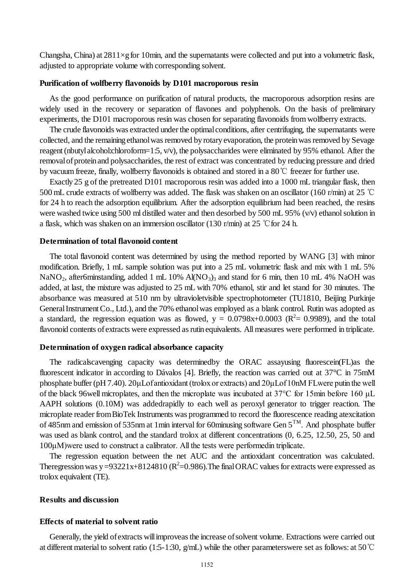Changsha, China) at  $2811 \times g$  for 10min, and the supernatants were collected and put into a volumetric flask, adjusted to appropriate volume with corresponding solvent.

#### **Purification of wolfberry flavonoids by D101 macroporous resin**

As the good performance on purification of natural products, the macroporous adsorption resins are widely used in the recovery or separation of flavones and polyphenols. On the basis of preliminary experiments, the D101 macroporous resin was chosen for separating flavonoids from wolfberry extracts.

The crude flavonoids was extracted under the optimal conditions, after centrifuging, the supernatants were collected, and the remaining ethanol was removed by rotary evaporation, the protein was removed by Sevage reagent (nbutyl alcohol:chloroform=1:5, v/v), the polysaccharides were eliminated by 95% ethanol. After the removal of protein and polysaccharides, the rest of extract was concentrated by reducing pressure and dried by vacuum freeze, finally, wolfberry flavonoids is obtained and stored in a 80℃ freezer for further use.

Exactly 25 g of the pretreated D101 macroporous resin was added into a 1000 mL triangular flask, then 500 mL crude extracts of wolfberry was added. The flask was shaken on an oscillator (160 r/min) at 25 ℃ for 24 h to reach the adsorption equilibrium. After the adsorption equilibrium had been reached, the resins were washed twice using 500 ml distilled water and then desorbed by 500 mL 95% (v/v) ethanol solution in a flask, which was shaken on an immersion oscillator (130 r/min) at 25 ℃for 24 h.

### **Determination of total flavonoid content**

The total flavonoid content was determined by using the method reported by WANG [3] with minor modification. Briefly, 1 mL sample solution was put into a 25 mL volumetric flask and mix with 1 mL 5% NaNO<sub>2</sub>, after6minstanding, added 1 mL 10% Al(NO<sub>3</sub>)<sub>3</sub> and stand for 6 min, then 10 mL 4% NaOH was added, at last, the mixture was adjusted to 25 mL with 70% ethanol, stir and let stand for 30 minutes. The absorbance was measured at 510 nm by ultravioletvisible spectrophotometer (TU1810, Beijing Purkinje General Instrument Co., Ltd.), and the 70% ethanol was employed as a blank control. Rutin was adopted as a standard, the regression equation was as flowed,  $y = 0.0798x+0.0003$  ( $R^2 = 0.9989$ ), and the total flavonoid contents of extracts were expressed as rutin equivalents. All measures were performed in triplicate.

#### **Determination of oxygen radical absorbance capacity**

The radicalscavenging capacity was determinedby the ORAC assayusing fluorescein(FL)as the fluorescent indicator in according to Dávalos [4]. Briefly, the reaction was carried out at 37°C in 75mM phosphate buffer (pH 7.40). 20μLof antioxidant (trolox or extracts) and 20μLof 10nM FLwere putin the well of the black 96well microplates, and then the microplate was incubated at 37°C for 15min before 160 μL AAPH solutions (0.10M) was addedrapidly to each well as peroxyl generator to trigger reaction. The microplate reader from BioTek Instruments was programmed to record the fluorescence reading atexcitation of 485nm and emission of 535nm at 1min interval for 60minusing software Gen 5TM. And phosphate buffer was used as blank control, and the standard trolox at different concentrations (0, 6.25, 12.50, 25, 50 and 100μM)were used to construct a calibrator. All the tests were performedin triplicate.

The regression equation between the net AUC and the antioxidant concentration was calculated. Theregression was y= $93221x+8124810$  ( $R^2=0.986$ ). The final ORAC values for extracts were expressed as trolox equivalent (TE).

#### **Results and discussion**

# **Effects of material to solvent ratio**

Generally, the yield of extracts will improveas the increase of solvent volume. Extractions were carried out at different material to solvent ratio (1:5-1:30, g/mL) while the other parameterswere set as follows: at 50℃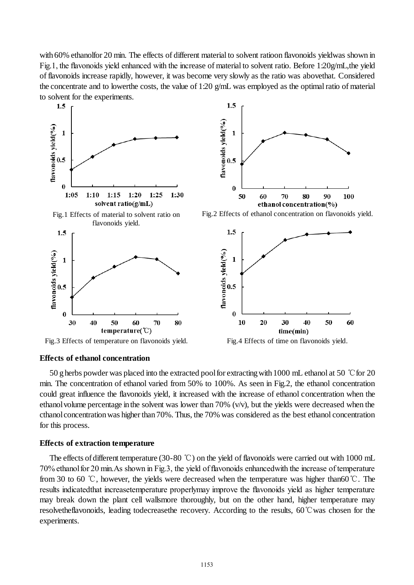with 60% ethanolfor 20 min. The effects of different material to solvent ratioon flavonoids yieldwas shown in Fig.1, the flavonoids yield enhanced with the increase of material to solvent ratio. Before 1:20g/mL,the yield of flavonoids increase rapidly, however, it was become very slowly as the ratio was abovethat. Considered the concentrate and to lowerthe costs, the value of 1:20 g/mL was employed as the optimal ratio of material to solvent for the experiments.



#### **Effects of ethanol concentration**

50 g herbs powder was placed into the extracted pool for extracting with 1000 mL ethanol at 50 ℃for 20 min. The concentration of ethanol varied from 50% to 100%. As seen in Fig.2, the ethanol concentration could great influence the flavonoids yield, it increased with the increase of ethanol concentration when the ethanol volume percentage in the solvent was lower than  $70\%$  (v/v), but the yields were decreased when the cthanol concentration was higher than 70%. Thus, the 70% was considered as the best ethanol concentration for this process.

#### **Effects of extraction temperature**

The effects of different temperature (30-80 ℃) on the yield of flavonoids were carried out with 1000 mL 70% ethanol for 20 min.As shown in Fig.3, the yield of flavonoids enhancedwith the increase of temperature from 30 to 60 ℃, however, the yields were decreased when the temperature was higher than60℃. The results indicatedthat increasetemperature properlymay improve the flavonoids yield as higher temperature may break down the plant cell wallsmore thoroughly, but on the other hand, higher temperature may resolvetheflavonoids, leading todecreasethe recovery. According to the results, 60℃was chosen for the experiments.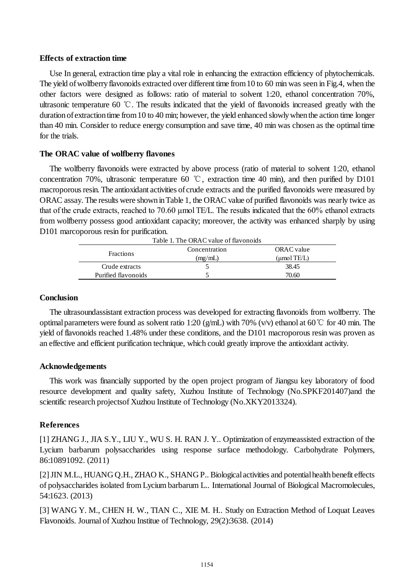#### **Effects of extraction time**

Use In general, extraction time play a vital role in enhancing the extraction efficiency of phytochemicals. The yield of wolfberry flavonoids extracted over different time from 10 to 60 min was seen in Fig.4, when the other factors were designed as follows: ratio of material to solvent 1:20, ethanol concentration 70%, ultrasonic temperature 60 ℃. The results indicated that the yield of flavonoids increased greatly with the duration of extraction time from 10 to 40 min; however, the yield enhanced slowly when the action time longer than 40 min. Consider to reduce energy consumption and save time, 40 min was chosen as the optimal time for the trials.

# **The ORAC value of wolfberry flavones**

The wolfberry flavonoids were extracted by above process (ratio of material to solvent 1:20, ethanol concentration 70%, ultrasonic temperature 60 ℃, extraction time 40 min), and then purified by D101 macroporous resin. The antioxidant activities of crude extracts and the purified flavonoids were measured by ORAC assay. The results were shown in Table 1, the ORAC value of purified flavonoids was nearly twice as that of the crude extracts, reached to 70.60 μmol TE/L. The results indicated that the 60% ethanol extracts from wolfberry possess good antioxidant capacity; moreover, the activity was enhanced sharply by using D101 marcoporous resin for purification.

|                     | Table 1. The ORAC value of flavonoids |                 |
|---------------------|---------------------------------------|-----------------|
| <b>Fractions</b>    | Concentration                         | ORAC value      |
|                     | (mg/mL)                               | $\mu$ mol TE/L) |
| Crude extracts      |                                       | 38.45           |
| Purified flavonoids |                                       | 70.60           |

### **Conclusion**

The ultrasoundassistant extraction process was developed for extracting flavonoids from wolfberry. The optimal parameters were found as solvent ratio 1:20 (g/mL) with 70% (v/v) ethanol at 60 °C for 40 min. The yield of flavonoids reached 1.48% under these conditions, and the D101 macroporous resin was proven as an effective and efficient purification technique, which could greatly improve the antioxidant activity.

### **Acknowledgements**

This work was financially supported by the open project program of Jiangsu key laboratory of food resource development and quality safety, Xuzhou Institute of Technology (No.SPKF201407)and the scientific research projectsof Xuzhou Institute of Technology (No.XKY2013324).

# **References**

[1] ZHANG J., JIA S.Y., LIU Y., WU S. H. RAN J. Y.. Optimization of enzymeassisted extraction of the Lycium barbarum polysaccharides using response surface methodology. Carbohydrate Polymers, 86:10891092. (2011)

[2] JIN M.L., HUANG Q.H., ZHAO K., SHANG P.. Biological activities and potential health benefit effects of polysaccharides isolated from Lycium barbarum L.. International Journal of Biological Macromolecules, 54:1623. (2013)

[3] WANG Y. M., CHEN H. W., TIAN C., XIE M. H.. Study on Extraction Method of Loquat Leaves Flavonoids. Journal of Xuzhou Institue of Technology, 29(2):3638. (2014)